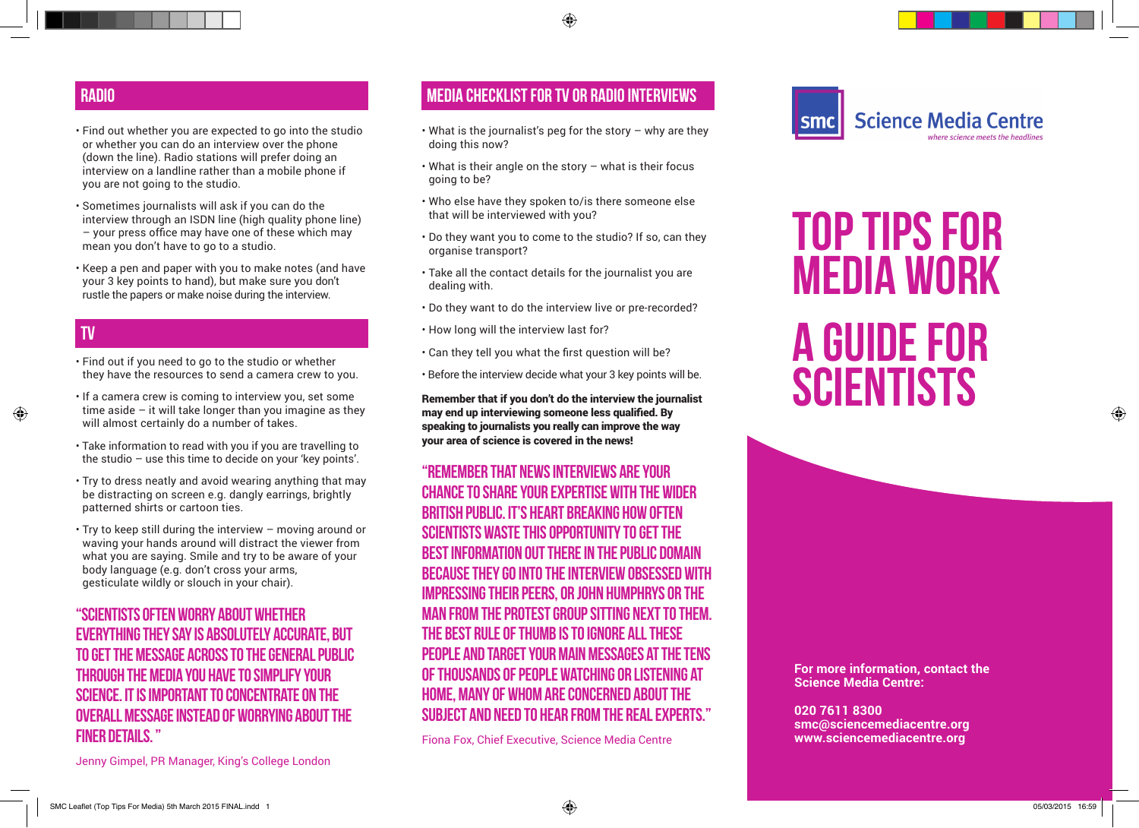- Find out whether you are expected to go into the studio or whether you can do an interview over the phone (down the line). Radio stations will prefer doing an interview on a landline rather than a mobile phone if you are not going to the studio.
- Sometimes journalists will ask if you can do the interview through an ISDN line (high quality phone line) – your press office may have one of these which may mean you don't have to go to a studio.
- Keep a pen and paper with you to make notes (and have your 3 key points to hand), but make sure you don't rustle the papers or make noise during the interview.

# **TV**

- Find out if you need to go to the studio or whether they have the resources to send a camera crew to you.
- If a camera crew is coming to interview you, set some time aside – it will take longer than you imagine as they will almost certainly do a number of takes.
- Take information to read with you if you are travelling to the studio – use this time to decide on your 'key points'.
- Try to dress neatly and avoid wearing anything that may be distracting on screen e.g. dangly earrings, brightly patterned shirts or cartoon ties.
- Try to keep still during the interview moving around or waving your hands around will distract the viewer from what you are saying. Smile and try to be aware of your body language (e.g. don't cross your arms, gesticulate wildly or slouch in your chair).

## **"Scientists often worry about whether everything they say is absolutely accurate, but to get the message across to the general public through the media you have to simplify your science. It is important to concentrate on the overall message instead of worrying about the finer details. "**

# **RADIO MEDIA CHECKLIST FOR TV OR RADIO INTERVIEWS**

- What is the journalist's peg for the story why are they mate the *j* channels page as the couplement of  $\frac{1}{2}$  doing this now?
- What is their angle on the story what is their focus going to be? is their angle on the story what is their locus<br>the ha<sup>2</sup>
- Who else have they spoken to/is there someone else that will be interviewed with you?<br>*your* else have they spoken to/is there someone else<br>will be intensiessed with seco<sup>0</sup>
- Do they want you to come to the studio? If so, can they organise transport? **Possibly the best way to communicate with the public**
- $\bm{\cdot}$  Take all the contact details for the journalist you are dealing with.  $\overline{a}$
- $\cdot$  Do they want to do the interview live or pre-recorded? ey want to go the interview live or pre-recorded:
- $\cdot$  How long will the interview last for?
- Can they tell you what the first question will be?  $\mathcal{L}=\left\{ \begin{array}{ll} \mathcal{L}_{\mathcal{A}} & \mathcal{L}_{\mathcal{A}} & \mathcal{L}_{\mathcal{A}} & \mathcal{L}_{\mathcal{A}} & \mathcal{L}_{\mathcal{A}} & \mathcal{L}_{\mathcal{A}} & \mathcal{L}_{\mathcal{A}} & \mathcal{L}_{\mathcal{A}} & \mathcal{L}_{\mathcal{A}} & \mathcal{L}_{\mathcal{A}} & \mathcal{L}_{\mathcal{A}} & \mathcal{L}_{\mathcal{A}} & \mathcal{L}_{\mathcal{A}} & \mathcal{L}_{\mathcal{A}} & \mathcal{L}_{\mathcal{A}} & \mathcal{L}_{\math$
- **•** Before the interview decide what your 3 key points will be.

Remember that if you don't do the interview the journalist may end up interviewing someone less qualified. By speaking to journalists you really can improve the way your area of science is covered in the news! information across. Note that the media during with the media during with the media during with the media during  $\alpha$ 

### **"Remember that news interviews are your**  this time means that someone else will, and chances **CHANCE TO SHARE YOUR EXPERTISE WITH THE WIDER AND A SCIENCE A BRITISH PUBLIC. IT'S HEART BREAKING HOW OFTEN scientists waste this opportunity to get the best information out there in the public domain**  BEST INFORMATION OUT THERE IN THE PUBLIC DOMAIN<br>Because They Go into the interview obsessed with **IMPRESSING THEIR PEERS, OR JOHN HUMPHRYS OR THE** MAN FROM THE PROTEST GROUP SITTING NEXT TO THEM. THE BEST RULE OF THUMB IS TO IGNORE ALL THESE PEOPLE AND TARGET YOUR MAIN MESSAGES AT THE TENS OF THOUSANDS OF PEOPLE WATCHING OR LISTENING AT **HOME, MANY OF WHOM ARE CONCERNED ABOUT THE SUBJECT AND NEED TO HEAR FROM THE REAL EXPERTS."**  $\blacksquare$ You ignore the media and media and the media and the media and the media and the media and the media at  $\sim$ SE THEY GU INTU THE INTERVIEW UBSESSED WITH<br>equipment in the science in the science of the

Fiona Fox, Chief Executive, Science Media Centre **EXECUTE:** College Media Construction



# TOP TIPS FOR  $MEDIA WORK$ **A GUIDE FOR SCIENTISTS** Most UK academics receive at least part of their funding of trust in scientists and broadly agree that science benefits people and society  $\mathbf r$  $\epsilon$ even more in the future. WID TIPS FIRST

approached with offers of funding since their comments appeared in the media. Plus many report potential collaborators getting in the touch following their with the touch following their with

**For more information, contact the Science Media Centre:**<br>Science Media Centre:

**020 7611 8300** nanotechnology, cloning, stem cell and animal research. **smc@sciencemediacentre.org** www.sciencemediacentre.org

Jenny Gimpel, PR Manager, King's College London